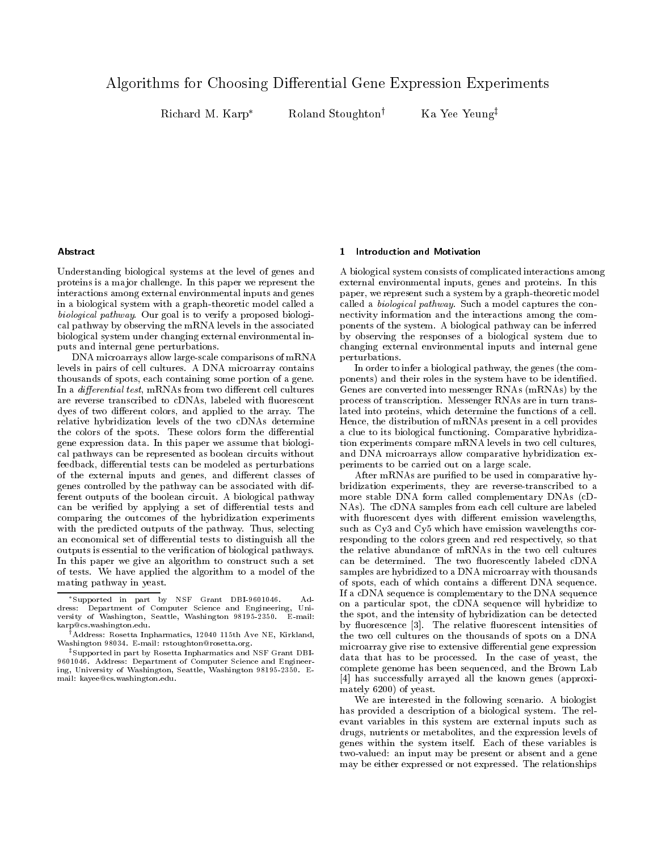Richard M. Karp\* Roland Stoughton<sup>†</sup> Ka Yee Yeung<sup>‡</sup>

## Abstract

Understanding biological systems at the level of genes and proteins is a ma jor challenge. In this paper we represent the interactions among external environmental inputs and genes in a biological system with a graph-theoretic model called a biological pathway. Our goal is to verify a proposed biological pathway by observing the mRNA levels in the associated biological system under changing external environmental inputs and internal gene perturbations.

DNA microarrays allow large-scale comparisons of mRNA levels in pairs of cell cultures. A DNA microarray contains thousands of spots, each containing some portion of a gene. In a differential test, mRNAs from two different cell cultures are reverse transcribed to cDNAs, labeled with 
uorescent dyes of two different colors, and applied to the array. The relative hybridization levels of the two cDNAs determine the colors of the spots. These colors form the differential gene expression data. In this paper we assume that biological pathways can be represented as boolean circuits without feedback, differential tests can be modeled as perturbations of the external inputs and genes, and different classes of genes controlled by the pathway can be associated with different outputs of the boolean circuit. A biological pathway can be verified by applying a set of differential tests and comparing the outcomes of the hybridization experiments with the predicted outputs of the pathway. Thus, selecting an economical set of differential tests to distinguish all the outputs is essential to the verication of biological pathways. In this paper we give an algorithm to construct such a set of tests. We have applied the algorithm to a model of the mating pathway in yeast.

# 1 Introduction and Motivation

A biological system consists of complicated interactions among external environmental inputs, genes and proteins. In this paper, we represent such a system by a graph-theoretic model called a biological pathway. Such a model captures the connectivity information and the interactions among the components of the system. A biological pathway can be inferred by observing the responses of a biological system due to changing external environmental inputs and internal gene perturbations.

In order to infer a biological pathway, the genes (the components) and their roles in the system have to be identied. Genes are converted into messenger RNAs (mRNAs) by the process of transcription. Messenger RNAs are in turn translated into proteins, which determine the functions of a cell. Hence, the distribution of mRNAs present in a cell provides a clue to its biological functioning. Comparative hybridization experiments compare mRNA levels in two cell cultures, and DNA microarrays allow comparative hybridization experiments to be carried out on a large scale.

After mRNAs are purified to be used in comparative hybridization experiments, they are reverse-transcribed to a more stable DNA form called complementary DNAs (cD-NAs). The cDNA samples from each cell culture are labeled with fluorescent dyes with different emission wavelengths, such as Cy3 and Cy5 which have emission wavelengths corresponding to the colors green and red respectively, so that the relative abundance of mRNAs in the two cell cultures can be determined. The two fluorescently labeled cDNA samples are hybridized to a DNA microarray with thousands of spots, each of which contains a different DNA sequence. If a cDNA sequence is complementary to the DNA sequence on a particular spot, the cDNA sequence will hybridize to the spot, and the intensity of hybridization can be detected by fluorescence [3]. The relative fluorescent intensities of the two cell cultures on the thousands of spots on a DNA microarray give rise to extensive differential gene expression data that has to be processed. In the case of yeast, the complete genome has been sequenced, and the Brown Lab [4] has successfully arrayed all the known genes (approximately 6200) of yeast.

We are interested in the following scenario. A biologist has provided a description of a biological system. The rel evant variables in this system are external inputs such asdrugs, nutrients or metabolites, and the expression levels of genes within the system itself. Each of these variables is two-valued: an input may be present or absent and a gene may be either expressed or not expressed. The relationships

Supported in part by NSF Grant DBI-9601046. Address: Department of Computer Science and Engineering, Uni versity of Washington, Seattle, Washington 98195-2350. E-mail: karp@cs.washington.edu.

<sup>&</sup>lt;sup>†</sup>Address: Rosetta Inpharmatics, 12040 115th Ave NE, Kirkland, Washington 98034. E-mail: rstoughton@rosetta.org.

 $^{15}$ Supported in part by Rosetta Inpharmatics and NSF Grant DBI-9601046. Address: Department of Computer Science and Engineering, University of Washington, Seattle, Washington 98195-2350. Email: kayee@cs.washington.edu.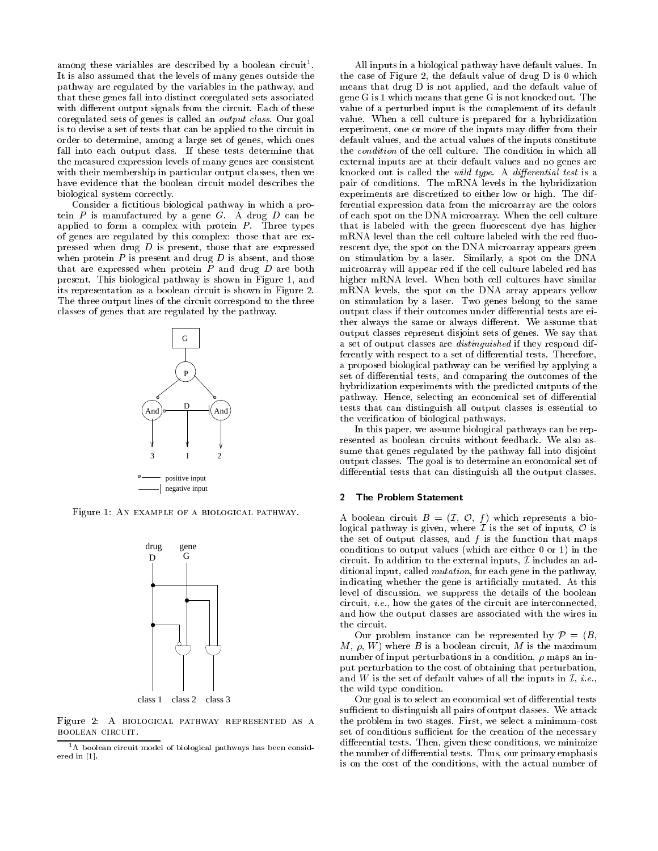among these variables are described by a boolean circuit<sup>1</sup>. It is also assumed that the levels of many genes outside the pathway are regulated by the variables in the pathway, and that these genes fall into distinct coregulated sets associated with different output signals from the circuit. Each of these coregulated sets of genes is called an output class. Our goal is to devise a set of tests that can be applied to the circuit in order to determine, among a large set of genes, which ones fall into each output class. If these tests determine that the measured expression levels of many genes are consistent with their membership in particular output classes, then we have evidence that the boolean circuit model describes the biological system correctly.

Consider a fictitious biological pathway in which a protein  $P$  is manufactured by a gene  $G$ . A drug  $D$  can be applied to form a complex with protein  $P$ . Three types of genes are regulated by this complex: those that are expressed when drug <sup>D</sup> is present, those that are expressed when protein  $P$  is present and drug  $D$  is absent, and those that are expressed when protein  $P$  and drug  $D$  are both present. This biological pathway is shown in Figure 1, and its representation as a boolean circuit is shown in Figure 2. The three output lines of the circuit correspond to the three classes of genes that are regulated by the pathway.



Figure 1: An example of a biological pathway.



Figure 2: A biological pathway represented as a boolean circuit.

 $^1\mathrm{A}$  boolean circuit model of biological pathways has been considered in [1].

All inputs in a biological pathway have default values. In the case of Figure 2, the default value of drug D is 0 which means that drug D is not applied, and the default value of gene G is 1 which means that gene G is not knocked out. The value of a perturbed input is the complement of its default value. When a cell culture is prepared for a hybridization experiment, one or more of the inputs may differ from their default values, and the actual values of the inputs constitute the condition of the cell culture. The condition in which all external inputs are at their default values and no genes are knocked out is called the wild type. A differential test is a pair of conditions. The mRNA levels in the hybridization experiments are discretized to either low or high. The differential expression data from the microarray are the colors of each spot on the DNA microarray. When the cell culture that is labeled with the green fluorescent dye has higher mRNA level than the cell culture labeled with the red fluorescent dye, the spot on the DNA microarray appears green on stimulation by a laser. Similarly, a spot on the DNA microarray will appear red if the cell culture labeled red has higher mRNA level. When both cell cultures have similar mRNA levels, the spot on the DNA array appears yellow on stimulation by a laser. Two genes belong to the same output class if their outcomes under differential tests are either always the same or always different. We assume that output classes represent disjoint sets of genes. We say that a set of output classes are distinguished if they respond differently with respect to a set of differential tests. Therefore, a proposed biological pathway can be veried by applying a set of differential tests, and comparing the outcomes of the hybridization experiments with the predicted outputs of the pathway. Hence, selecting an economical set of differential tests that can distinguish all output classes is essential to the verication of biological pathways.

In this paper, we assume biological pathways can be rep sume that genes regulated by the pathway fall into disjoint output classes. The goal is to determine an economical set of differential tests that can distinguish all the output classes.

## 2 The Problem Statement

A boolean circuit  $B = (\mathcal{I}, \mathcal{O}, f)$  which represents a biological pathway is given, where  $\mathcal I$  is the set of inputs,  $\mathcal O$  is the set of output classes, and  $f$  is the function that maps conditions to output values (which are either 0 or 1) in the circuit. In addition to the external inputs,  $\mathcal I$  includes an additional input, called mutation, for each gene in the pathway, indicating whether the gene is artificially mutated. At this level of discussion, we suppress the details of the boolean circuit, i.e., how the gates of the circuit are interconnected, and how the output classes are associated with the wires in the circuit.

Our problem instance can be represented by  $\mathcal{P} = (B, M, \rho, W)$  where B is a boolean circuit, M is the maximum number of input perturbations in a condition,  $\rho$  maps an input perturbation to the cost of obtaining that perturbation, and W is the set of default values of all the inputs in  $\mathcal{I}, i.e.,$ the wild type condition.

Our goal is to select an economical set of differential tests sufficient to distinguish all pairs of output classes. We attack the problem in two stages. First, we select a minimum-cost set of conditions sufficient for the creation of the necessary differential tests. Then, given these conditions, we minimize the number of differential tests. Thus, our primary emphasis is on the cost of the conditions, with the actual number of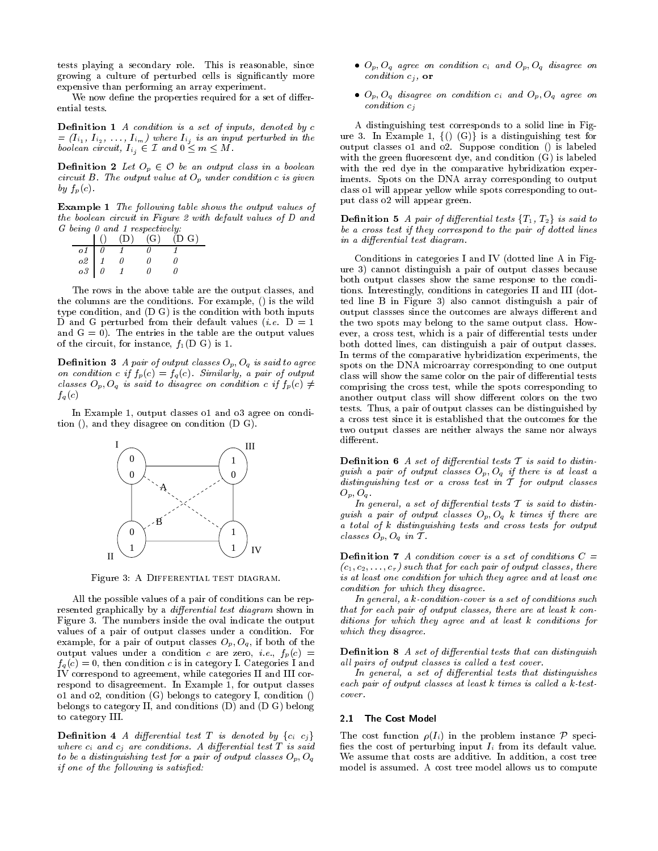tests playing a secondary role. This is reasonable, since growing a culture of perturbed cells is signicantly more expensive than performing an array experiment.

We now define the properties required for a set of differential tests.

**Definition 1** A condition is a set of inputs, denoted by c boolean circuit,  $I_{i_j} \in \mathcal{I}$  and  $0 \leq m \leq M$ .

**Definition 2** Let  $O_p \in \mathcal{O}$  be an output class in a boolean circuit  $B$ . The output value at  $O_p$  under condition c is given by  $f_p(c)$ .

Example 1 The following table shows the output values of the boolean circuit in Figure 2 with default values of D and G being 0 and 1 respectively:

The rows in the above table are the output classes, and the columns are the conditions. For example, () is the wild type condition, and (D G) is the condition with both inputs D and G perturbed from their default values (*i.e.*  $D=1$ and  $G = 0$ . The entries in the table are the output values of the circuit, for instance,  $f_1(D \ G)$  is 1.

**Definition 3** A pair of output classes  $O_p$ ,  $O_q$  is said to agree on condition c if  $f_p(c) = f_q(c)$ . Similarly, a pair of output classes  $O_p$ ,  $O_q$  is said to disagree on condition c if  $f_p(c) \neq$  $f_q (c)$ 

In Example 1, output classes o1 and o3 agree on condition (), and they disagree on condition (D G).



Figure 3: A DIFFERENTIAL TEST DIAGRAM.

All the possible values of a pair of conditions can be rep resented graphically by a *differential test diagram* shown in Figure 3. The numbers inside the oval indicate the output values of a pair of output classes under a condition. For example, for a pair of output classes  $O_p$ ,  $O_q$ , if both of the output values under a condition c are zero, *i.e.*,  $f_p(c)$  =  $f_q (c) = 0$ , then condition c is in category I. Categories I and IV correspond to agreement, while categories II and III correspond to disagreement. In Example 1, for output classes o1 and o2, condition (G) belongs to category I, condition () belongs to category II, and conditions (D) and (D G) belong to category III.

**Definition 4** A differential test T is denoted by  $\{c_i, c_j\}$ where  $c_i$  and  $c_j$  are conditions. A differential test  $T$  is said to be a distinguishing test for a pair of output classes  $O_p$ ,  $O_q$ if one of the following is satisfied:

- $\bullet$   $O_p$ ,  $O_q$  agree on condition  $c_i$  and  $O_p$ ,  $O_q$  aisagree on condition  $c_i$ , or
- $\bullet$   $\mathbf{O}_p$ ,  $\mathbf{O}_q$  assagree on condition  $c_i$  and  $\mathbf{O}_p$ ,  $\mathbf{O}_q$  agree on  $condition c_i$

A distinguishing test corresponds to a solid line in Figure 3. In Example 1,  $\{()\ (G)\}$  is a distinguishing test for output classes o1 and o2. Suppose condition () is labeled with the green fluorescent dye, and condition (G) is labeled with the red dye in the comparative hybridization experiments. Spots on the DNA array corresponding to output class o1 will appear yellow while spots corresponding to output class o2 will appear green.

**Definition 5** A pair of differential tests  $\{T_1, T_2\}$  is said to be a cross test if they correspond to the pair of dotted lines in a differential test diagram.

Conditions in categories I and IV (dotted line A in Figure 3) cannot distinguish a pair of output classes because both output classes show the same response to the conditions. Interestingly, conditions in categories II and III (dotted line B in Figure 3) also cannot distinguish a pair of output classses since the outcomes are always different and the two spots may belong to the same output class. How ever, a cross test, which is a pair of differential tests under both dotted lines, can distinguish a pair of output classes. In terms of the comparative hybridization experiments, the spots on the DNA microarray corresponding to one output class will show the same color on the pair of differential tests comprising the cross test, while the spots corresponding to another output class will show different colors on the two tests. Thus, a pair of output classes can be distinguished by a cross test since it is established that the outcomes for the two output classes are neither always the same nor always different

**Definition 6** A set of differential tests  $T$  is said to distinguish a pair of output classes  $O_p$ ,  $O_q$  if there is at least a distinguishing test or a cross test in  $T$  for output classes  $O_p$ ,  $O_q$ .

In general, a set of differential tests  $\mathcal T$  is said to distinguish a pair of output classes  $O_p$ ,  $O_q$  k times if there are a total of <sup>k</sup> distinguishing tests and cross tests for output classes  $O_p$ ,  $O_q$  in T.

**Definition 7** A condition cover is a set of conditions  $C =$  $(c_1, c_2, \ldots, c_r)$  such that for each pair of output classes, there is at least one condition for which they agree and at least one condition for which they disagree.

In general, a k-condition-cover is a set of conditions such that for each pair of output classes, there are at least <sup>k</sup> con ditions for which they agree and at least <sup>k</sup> conditions for which they disagree.

**Definition 8** A set of differential tests that can distinguish all pairs of output classes is called a test cover.

In general, a set of differential tests that distinguishes each pair of output classes at least  $k$  times is called  $a$   $k$ -testcover.

## 2.1 The Cost Model

The cost function  $\rho(I_i)$  in the problem instance P specifies the cost of perturbing input  $I_i$  from its default value. We assume that costs are additive. In addition, a cost tree model is assumed. A cost tree model allows us to compute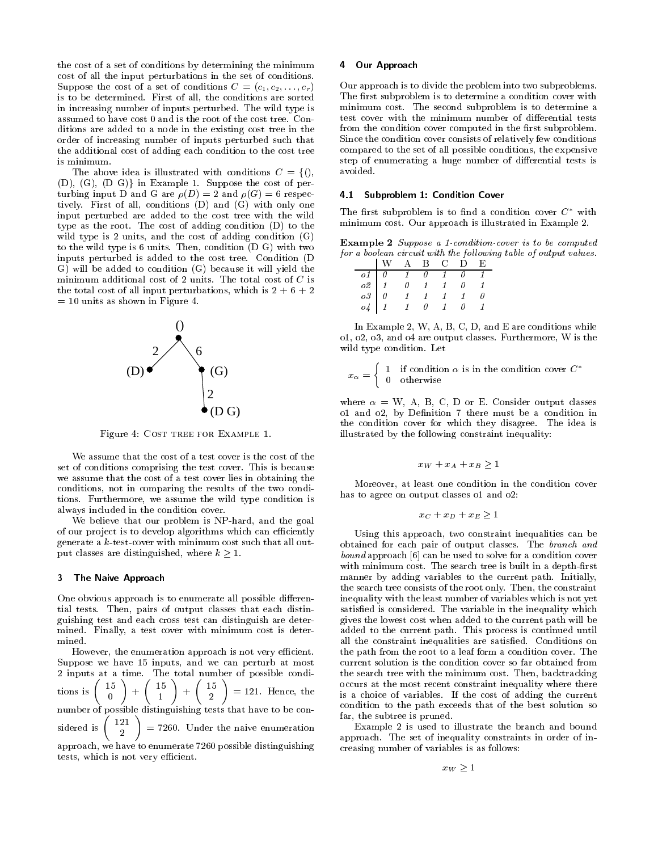the cost of a set of conditions by determining the minimum cost of all the input perturbations in the set of conditions. Suppose the cost of a set of conditions  $C = (c_1, c_2, \ldots, c_r)$ is to be determined. First of all, the conditions are sorted in increasing number of inputs perturbed. The wild type is assumed to have cost 0 and is the root of the cost tree. Conditions are added to a node in the existing cost tree in the order of increasing number of inputs perturbed such that the additional cost of adding each condition to the cost tree is minimum.

The above idea is illustrated with conditions  $C = \{(),$  $(D), (G), (D, G)$  in Example 1. Suppose the cost of perturbing input D and G are  $\rho(D) = 2$  and  $\rho(G) = 6$  respectively. First of all, conditions (D) and (G) with only one input perturbed are added to the cost tree with the wild type as the root. The cost of adding condition (D) to the wild type is 2 units, and the cost of adding condition (G) to the wild type is 6 units. Then, condition (D G) with two inputs perturbed is added to the cost tree. Condition (D G) will be added to condition (G) because it will yield the minimum additional cost of 2 units. The total cost of <sup>C</sup> is the total cost of all input perturbations, which is  $2 + 6 + 2$  $= 10$  units as shown in Figure 4.



Figure 4: COST TREE FOR EXAMPLE 1.

We assume that the cost of a test cover is the cost of the set of conditions comprising the test cover. This is because we assume that the cost of a test cover lies in obtaining the conditions, not in comparing the results of the two conditions. Furthermore, we assume the wild type condition is always included in the condition cover.

We believe that our problem is NP-hard, and the goal of our project is to develop algorithms which can efficiently generate a k-test-cover with minimum cost such that all output classes are distinguished, where  $k \geq 1$ .

## 3 The Naive Approach

One obvious approach is to enumerate all possible differential tests. Then, pairs of output classes that each distinguishing test and each cross test can distinguish are determined. Finally, a test cover with minimum cost is determined.

However, the enumeration approach is not very efficient. Suppose we have 15 inputs, and we can perturb at most  $\frac{1}{2}$  in time. The time of  $\frac{15}{2}$  in the total number of possible condi- $\begin{pmatrix} 15 \\ 0 \end{pmatrix} + \begin{pmatrix} 15 \\ 1 \end{pmatrix} + \begin{pmatrix} 15 \\ 1 \end{pmatrix}$  $\left(\begin{array}{c} 15 \ 1 \end{array}\right) \ + \ \left(\begin{array}{c} 15 \ 2 \end{array}\right) \ = \ 121$  $\left(\!\!\begin{array}{c} 15 \ 2 \end{array}\!\!\right) \, = \, 121. \;\; \text{Hence, the} \qquad \quad \frac{\text{or}}{\text{is}}$ number of possible distinguishing tests that have to be considered is  $\begin{pmatrix} 121 \\ 2 \end{pmatrix} = 72$  $\begin{pmatrix} 21 \\ 2 \end{pmatrix}$  = 7260. Under the naive enumeration approach, we have to enumerate 7260 possible distinguishing tests, which is not very efficient.

### Our Approach  $\overline{4}$

Our approach is to divide the problem into two subproblems. The first subproblem is to determine a condition cover with minimum cost. The second subproblem is to determine a test cover with the minimum number of differential tests from the condition cover computed in the first subproblem. Since the condition cover consists of relatively few conditions compared to the set of all possible conditions, the expensive step of enumerating a huge number of differential tests is avoided.

## 4.1 Subproblem 1: Condition Cover

The first subproblem is to find a condition cover  $C^*$  with minimum cost. Our approach is illustrated in Example 2.

Example 2 Suppose a 1-condition-cover is to be computed for a boolean circuit with the following table of output values.

| $\begin{array}{ccccccccc} o1 & 0 & 1 & 0 & 1 & 0 & 1 \\ o2 & 1 & 0 & 1 & 1 & 0 & 1 \\ o3 & 0 & 1 & 1 & 1 & 1 & 0 \\ o4 & 1 & 1 & 0 & 1 & 0 & 1 \end{array}$ |  |  |  |
|-------------------------------------------------------------------------------------------------------------------------------------------------------------|--|--|--|
|                                                                                                                                                             |  |  |  |

In Example 2, W, A, B, C, D, and E are conditions while o1, o2, o3, and o4 are output classes. Furthermore, W is the wild type condition. Let

$$
x_{\alpha} = \begin{cases} 1 & \text{if condition } \alpha \text{ is in the condition cover } C^* \\ 0 & \text{otherwise} \end{cases}
$$

where  $\alpha = W$ , A, B, C, D or E. Consider output classes o1 and o2, by Definition 7 there must be a condition in the condition cover for which they disagree. The idea is illustrated by the following constraint inequality:

$$
x_W + x_A + x_B \ge 1
$$

Moreover, at least one condition in the condition cover has to agree on output classes o1 and o2:

$$
x_C + x_D + x_E \ge 1
$$

Using this approach, two constraint inequalities can be obtained for each pair of output classes. The branch and bound approach [6] can be used to solve for a condition cover with minimum cost. The search tree is built in a depth-first manner by adding variables to the current path. Initially, the search tree consists of the root only. Then, the constraint inequality with the least number of variables which is not yet satisfied is considered. The variable in the inequality which gives the lowest cost when added to the current path will be added to the current path. This process is continued until all the constraint inequalities are satisfied. Conditions on the path from the root to a leaf form a condition cover. The current solution is the condition cover so far obtained from the search tree with the minimum cost. Then, backtracking occurs at the most recent constraint inequality where there is a choice of variables. If the cost of adding the current condition to the path exceeds that of the best solution so far, the subtree is pruned.

Example 2 is used to illustrate the branch and bound approach. The set of inequality constraints in order of increasing number of variables is as follows:

$$
x_W\geq 1
$$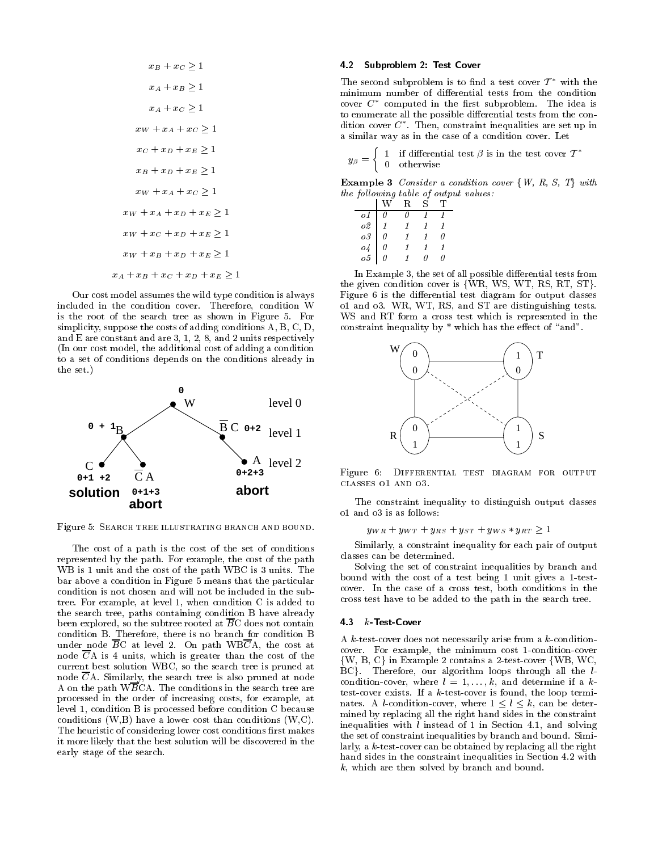$$
x_B + x_C \ge 1
$$
  
\n
$$
x_A + x_B \ge 1
$$
  
\n
$$
x_A + x_C \ge 1
$$
  
\n
$$
x_W + x_A + x_C \ge 1
$$
  
\n
$$
x_C + x_D + x_E \ge 1
$$
  
\n
$$
x_B + x_D + x_E \ge 1
$$
  
\n
$$
x_W + x_A + x_C \ge 1
$$
  
\n
$$
x_W + x_A + x_D + x_E \ge 1
$$
  
\n
$$
x_W + x_C + x_D + x_E \ge 1
$$
  
\n
$$
x_W + x_B + x_D + x_E \ge 1
$$
  
\n
$$
x_A + x_B + x_C + x_D + x_E \ge 1
$$

Our cost model assumes the wild type condition is always included in the condition cover. Therefore, condition W is the root of the search tree as shown in Figure 5. For simplicity, suppose the costs of adding conditions A, B, C, D, and E are constant and are 3, 1, 2, 8, and 2 units respectively (In our cost model, the additional cost of adding a condition to a set of conditions depends on the conditions already in the set.)



Figure 5: Search tree illustrating branch and bound.

The cost of a path is the cost of the set of conditions represented by the path. For example, the cost of the path WB is 1 unit and the cost of the path WBC is 3 units. The bar above a condition in Figure 5 means that the particular condition is not chosen and will not be included in the subtree. For example, at level 1, when condition C is added to the search tree, paths containing condition B have already been explored, so the subtree rooted at  $\overline{BC}$  does not contain condition B. Therefore, there is no branch for condition B under node  $\overline{B}C$  at level 2. On path WBCA, the cost at node  $\overline{C}A$  is 4 units, which is greater than the cost of the current best solution WBC, so the search tree is pruned at node CA. Similarly, the search tree is also pruned at node A on the path WBCA. The conditions in the search tree are processed in the order of increasing costs, for example, at level 1, condition B is processed before condition C because conditions (W,B) have a lower cost than conditions (W,C). The heuristic of considering lower cost conditions first makes it more likely that the best solution will be discovered in the early stage of the search.

# 4.2 Subproblem 2: Test Cover

The second subproblem is to find a test cover  $\mathcal{T}^*$  with the minimum number of differential tests from the condition cover  $C^*$  computed in the first subproblem. The idea is to enumerate all the possible differential tests from the condition cover  $C$  . Then, constraint inequalities are set up in a similar way as in the case of a condition cover. Let

$$
y_{\beta} = \begin{cases} 1 & \text{if differential test } \beta \text{ is in the test cover } T^* \\ 0 & \text{otherwise} \end{cases}
$$

Example 3 Consider a condition cover  $\{W, R, S, T\}$  with the following table of output values:

In Example 3, the set of all possible differential tests from the given condition cover is  $\{WR, WS, WT, RS, RT, ST\}.$ Figure 6 is the differential test diagram for output classes o1 and o3. WR, WT, RS, and ST are distinguishing tests. WS and RT form a cross test which is represented in the constraint inequality by  $*$  which has the effect of "and".



Figure 6: Differential test diagram for output classes o1 and o3.

The constraint inequality to distinguish output classes o1 and o3 is as follows:

 $y_{W R} + y_{W T} + y_{R S} + y_{S T} + y_{W S} * y_{R T} \ge 1$ 

Similarly, a constraint inequality for each pair of output classes can be determined.

Solving the set of constraint inequalities by branch and bound with the cost of a test being 1 unit gives a 1-test cover. In the case of a cross test, both conditions in the cross test have to be added to the path in the search tree.

# 4.3 k-Test-Cover

A k-test-cover does not necessarily arise from a k-condition cover. For example, the minimum cost 1-condition-cover  $\{W, B, C\}$  in Example 2 contains a 2-test-cover  $\{WB, WC,$  $BC$ }. Therefore, our algorithm loops through all the  $l$ condition-cover, where  $l = 1, \ldots, k$ , and determine if a ktest-cover exists. If a  $k$ -test-cover is found, the loop terminates. A *l*-condition-cover, where  $1 \leq l \leq k$ , can be determined by replacing all the right hand sides in the constraint inequalities with <sup>l</sup> instead of 1 in Section 4.1, and solving the set of constraint inequalities by branch and bound. Similarly, a k-test-cover can be obtained by replacing all the right hand sides in the constraint inequalities in Section 4.2 with k, which are then solved by branch and bound.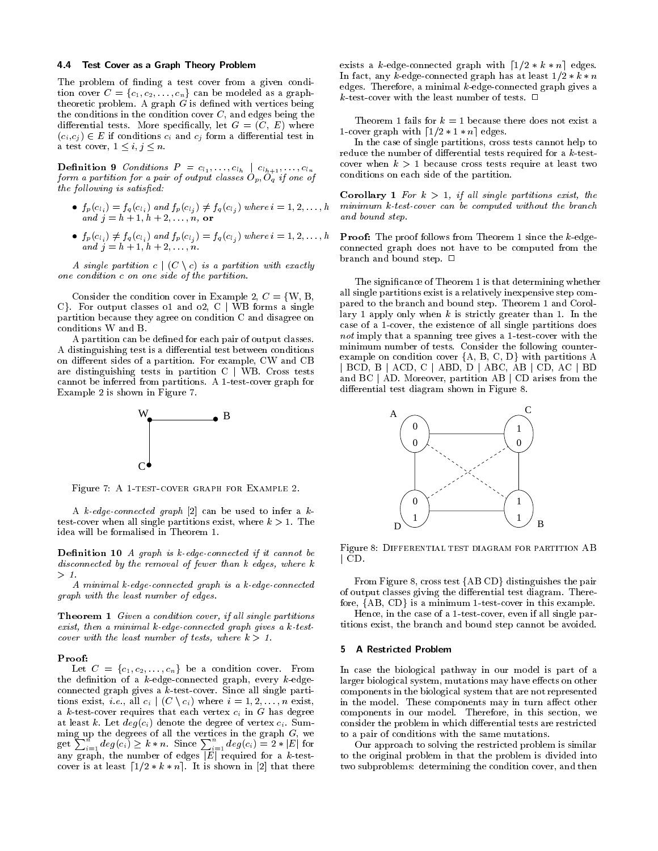# 4.4 Test Cover as a Graph Theory Problem

The problem of finding a test cover from a given condition cover  $C = \{c_1, c_2, \ldots, c_n\}$  can be modeled as a graphtheoretic problem. A graph  $G$  is defined with vertices being the conditions in the condition cover  $C$ , and edges being the differential tests. More specifically, let  $G = (C, E)$  where  $(c_i, c_j) \in E$  if conditions  $c_i$  and  $c_j$  form a differential test in

a test cover,  $1 \le i, j \le n$ .<br>**Definition 9** Conditions  $P = c_{i_1}, \ldots, c_{i_h} \mid c_{i_{h+1}}, \ldots, c_{i_n}$ form a partition for a pair of output classes  $O_p$ ,  $O_q$  if one of the following is satisfied:

- $\bullet$   $f_p(c_{l_i}) = f_q(c_{l_i})$  and  $f_p(c_{l_j}) \neq f_q(c_{l_j})$  where  $i = 1, 2, \ldots, h$  minimi and  $j = h + 1, h + 2, \ldots, n$ , or
- $f_p(c_{l_i}) \neq f_q(c_{l_i})$  and  $f_p(c_{l_i}) = f_q(c_{l_i})$  where  $i = 1, 2, \ldots, h$  Proof: and j= <sup>h</sup> + 1;<sup>h</sup> + 2;:::;n.

A single partition  $c \mid (C \setminus c)$  is a partition with exactly one condition <sup>c</sup> on one side of the partition.

Consider the condition cover in Example 2,  $C = \{W, B, \}$ C}. For output classes o1 and o2,  $C | WB$  forms a single partition because they agree on condition C and disagree on conditions W and B.

A partition can be dened for each pair of output classes. A distinguishing test is a differential test between conditions on different sides of a partition. For example, CW and CB are distinguishing tests in partition C j WB. Cross tests cannot be inferred from partitions. A 1-test-cover graph for Example 2 is shown in Figure 7.



Figure 7: A 1-TEST-COVER GRAPH FOR EXAMPLE 2.

A k-edge-connected graph [2] can be used to infer a k test-cover when all single partitions exist, where  $k>1$ . The idea will be formalised in Theorem 1.

**Definition 10** A graph is  $k$ -edge-connected if it cannot be disconnected by the removal of fewer than k edges, where <sup>k</sup> > 1.

A minimal k-edge-connected graph is a k-edge-connected graph with the least number of edges.

**Theorem 1** Given a condition cover, if all single partitions exist, then a minimal k-edge-connected graph gives a k-test cover with the least number of tests, where  $k > 1$ .

Let  $C = \{c_1, c_2, \ldots, c_n\}$  be a condition cover. From the definition of a  $k$ -edge-connected graph, every  $k$ -edgeconnected graph gives a k-test-cover. Since all single partitions exist, *i.e.*, all  $c_i | (C \setminus c_i)$  where  $i = 1, 2, \ldots, n$  exist, a k-test-cover requires that each vertex  $c_i$  in G has degree at least k. Let  $deg(c_i)$  denote the degree of vertex  $c_i$ . Summing up the degrees of all the vertices in the graph  $G$ , we  $\mathrm{get}\,\sum_{i=1}^n deg(c_i)\geq k * n.$  Since  $\sum_{i=1}^n deg(c_i)=2 * |E|$  for any graph, the number of edges  $\vert E\vert$  required for a  $k$ -testcover is at least  $\lceil 1/2 * k * n \rceil$ . It is shown in [2] that there

exists a k-edge-connected graph with  $\lceil 1/2 * k * n \rceil$  edges. In fact, any k-edge-connected graph has at least  $1/2 * k * n$ edges. Therefore, a minimal  $k$ -edge-connected graph gives a  $k\text{-test-cover with the least number of tests.}\;\;\Box$ 

Theorem 1 fails for  $k = 1$  because there does not exist a 1-cover graph with  $\lceil 1/2 * 1 * n \rceil$  edges.

In the case of single partitions, cross tests cannot help to reduce the number of differential tests required for a  $k$ -testcover when  $k > 1$  because cross tests require at least two conditions on each side of the partition.

**Corollary 1** For  $k > 1$ , if all single partitions exist, the minimum k-test-cover can be computed without the branch and bound step.

Proof: The proof follows from Theorem 1 since the k-edgeconnected graph does not have to be computed from the branch and bound step.  $\square$ 

The signicance of Theorem 1 is that determining whether all single partitions exist is a relatively inexpensive step compared to the branch and bound step. Theorem 1 and Corollary 1 apply only when  $k$  is strictly greater than 1. In the case of a 1-cover, the existence of all single partitions does not imply that a spanning tree gives a 1-test-cover with the minimum number of tests. Consider the following counterexample on condition cover  $\{A, B, C, D\}$  with partitions A j BCD, B j ACD, C j ABD, D j ABC, AB j CD, AC j BD and BC | AD. Moreover, partition AB | CD arises from the differential test diagram shown in Figure 8.



Figure 8: Differential test diagram for partition AB j CD.

From Figure 8, cross test  ${AB\,CD}$  distinguishes the pair of output classes giving the differential test diagram. Therefore,  ${AB, CD}$  is a minimum 1-test-cover in this example.

Hence, in the case of a 1-test-cover, even if all single partitions exist, the branch and bound step cannot be avoided.

# 5 A Restricted Problem

In case the biological pathway in our model is part of a larger biological system, mutations may have effects on other components in the biological system that are not represented in the model. These components may in turn affect other components in our model. Therefore, in this section, we consider the problem in which differential tests are restricted to a pair of conditions with the same mutations.

Our approach to solving the restricted problem is similar to the original problem in that the problem is divided into two subproblems: determining the condition cover, and then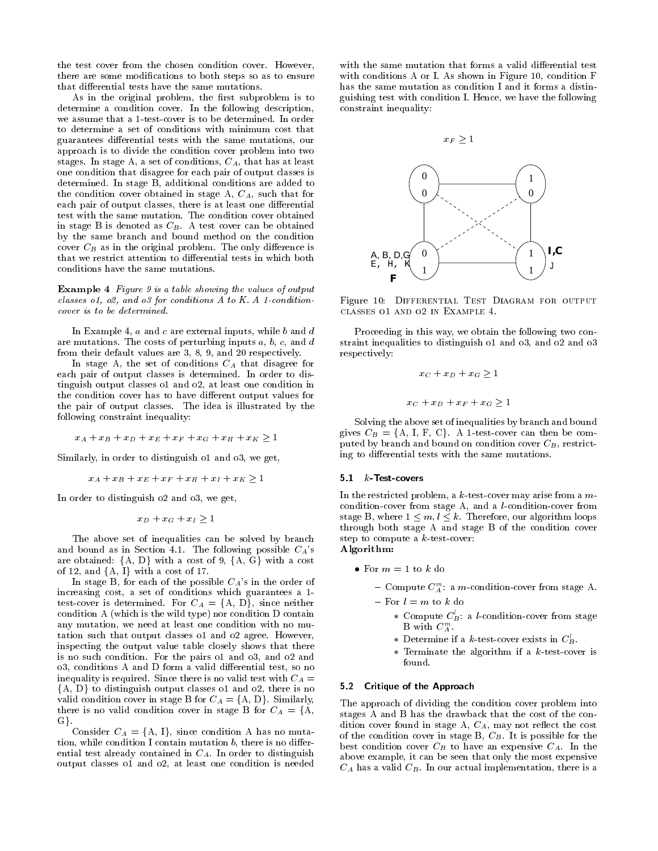the test cover from the chosen condition cover. However, there are some modications to both steps so as to ensure that differential tests have the same mutations.

As in the original problem, the first subproblem is to determine a condition cover. In the following description, we assume that a 1-test-cover is to be determined. In order to determine a set of conditions with minimum cost that guarantees differential tests with the same mutations, our approach is to divide the condition cover problem into two stages. In stage A, a set of conditions,  $C_A$ , that has at least one condition that disagree for each pair of output classes is determined. In stage B, additional conditions are added to the condition cover obtained in stage A,  $C_A$ , such that for each pair of output classes, there is at least one differential test with the same mutation. The condition cover obtained in stage B is denoted as  $C_B$ . A test cover can be obtained by the same branch and bound method on the condition cover  $C_B$  as in the original problem. The only difference is that we restrict attention to differential tests in which both conditions have the same mutations.

Example 4 Figure 9 is a table showing the values of output classes o1, o2, and o3 for conditions A to K. A 1-condition cover is to be determined.

In Example 4,  $a$  and  $c$  are external inputs, while  $b$  and  $d$ are mutations. The costs of perturbing inputs  $a, b, c,$  and  $d$ from their default values are 3, 8, 9, and 20 respectively.

In stage A, the set of conditions  $C_A$  that disagree for each pair of output classes is determined. In order to distinguish output classes o1 and o2, at least one condition in the condition cover has to have different output values for the pair of output classes. The idea is illustrated by the following constraint inequality:

$$
x_A + x_B + x_D + x_E + x_F + x_G + x_H + x_K \ge 1
$$

Similarly, in order to distinguish o1 and o3, we get,

$$
x_A + x_B + x_E + x_F + x_H + x_I + x_K \ge 1
$$

In order to distinguish o2 and o3, we get,

$$
x_D + x_G + x_I \ge 1
$$

The above set of inequalities can be solved by branch and bound as in Section 4.1. The following possible  $C_A$ 's are obtained:  ${A, D}$  with a cost of 9,  ${A, G}$  with a cost of 12, and  $\{A, I\}$  with a cost of 17.

In stage B, for each of the possible  $C_A$ 's in the order of increasing cost, a set of conditions which guarantees a 1 test-cover is determined. For  $C_A = \{A, D\}$ , since neither condition A (which is the wild type) nor condition D contain any mutation, we need at least one condition with no mu tation such that output classes o1 and o2 agree. However, inspecting the output value table closely shows that there is no such condition. For the pairs o1 and o3, and o2 and o3, conditions A and D form a valid differential test, so no inequality is required. Since there is no valid test with  $C_A =$  ${A, D}$  to distinguish output classes o1 and o2, there is no valid condition cover in stage B for  $C_A = \{A, D\}$ . Similarly, there is no valid condition cover in stage B for  $C_A = \{A,$ 

G}.<br>Consider  $C_A = \{A, I\}$ , since condition A has no mutation, while condition I contain mutation  $b$ , there is no differential test already contained in  $C_A$ . In order to distinguish output classes o1 and o2, at least one condition is needed with the same mutation that forms a valid differential test with conditions A or I. As shown in Figure 10, condition F has the same mutation as condition I and it forms a distinguishing test with condition I. Hence, we have the following constraint inequality:



Figure 10: Differential Test Diagram for output classes o1 and o2 in Example 4.

Proceeding in this way, we obtain the following two con straint inequalities to distinguish o1 and o3, and o2 and o3 respectively:

$$
x_C + x_D + x_G \ge 1
$$
  

$$
x_C + x_D + x_F + x_G \ge 1
$$

Solving the above set of inequalities by branch and bound gives  $C_B = \{A, I, F, C\}$ . A 1-test-cover can then be computed by branch and bound on condition cover  $C_B$ , restricting to differential tests with the same mutations.

# 5.1  $k$ -Test-covers

In the restricted problem, a  $k$ -test-cover may arise from a  $m$ condition-cover from stage A, and a l-condition-cover from stage B, where  $1 \leq m, l \leq k$ . Therefore, our algorithm loops through both stage A and stage B of the condition cover step to compute a k-test-cover: Algorithm:

- $\bullet$  for  $m = 1$  to  $\kappa$  do
	- $-$  Compute  $C_A$  : a  $m$ -condition-cover from stage A.  $-$  For  $l = m$  to k do
		- $*$  Compute  $C_B$ : a *t*-condition-cover from stage B with  $C_A^m$ .
		- $\ast$  Determine if a k-test-cover exists in  $C_B^l$ .
		- $*$  lerminate the algorithm if a  $\kappa$ -test-cover is found.

# 5.2 Critique of the Approach

The approach of dividing the condition cover problem into stages A and B has the drawback that the cost of the condition cover found in stage A,  $C_A$ , may not reflect the cost of the condition cover in stage B,  $C_B$ . It is possible for the best condition cover  $C_B$  to have an expensive  $C_A$ . In the above example, it can be seen that only the most expensive  $C_A$  has a valid  $C_B$ . In our actual implementation, there is a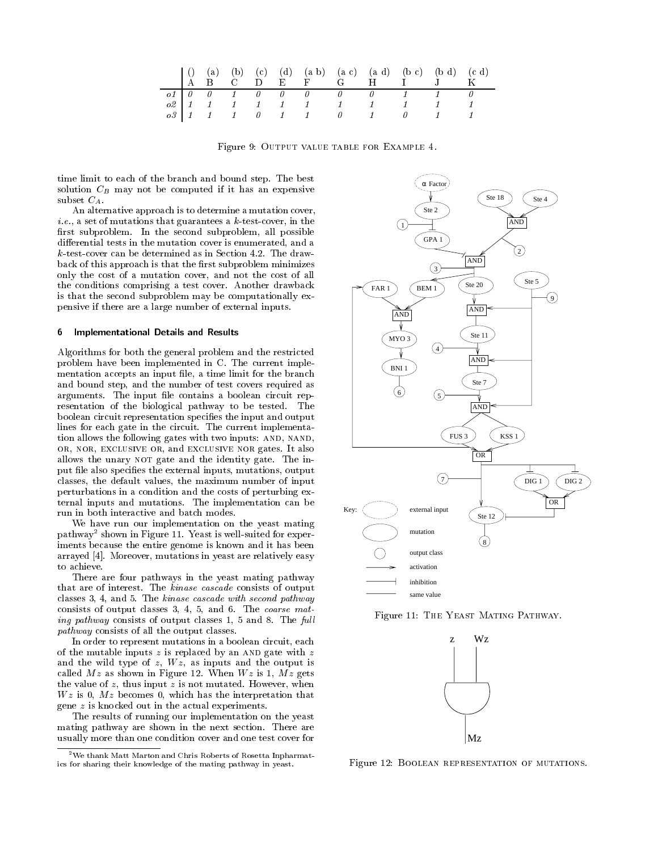|  |  |  |  |  | $\begin{array}{ cccc cccc } \hline ( ) & (a) & (b) & (c) & (d) & (a \; b) & (a \; c) & (a \; d) & (b \; c) & (b \; d) & (c \; d) \\ A & B & C & D & E & F & G & H & I & J & K \\ \hline \end{array}$                                                                |  |
|--|--|--|--|--|---------------------------------------------------------------------------------------------------------------------------------------------------------------------------------------------------------------------------------------------------------------------|--|
|  |  |  |  |  |                                                                                                                                                                                                                                                                     |  |
|  |  |  |  |  |                                                                                                                                                                                                                                                                     |  |
|  |  |  |  |  | $\begin{array}{cccccccc} 0 & 1 & 0 & 0 & 1 & 0 & 0 & 0 & 0 & 0 & 0 & 1 & 1 & 0 \ 0 & 2 & 1 & 1 & 1 & 1 & 1 & 1 & 1 & 1 & 1 & 1 & 1 & 1 & 1 \ 0 & 3 & 1 & 1 & 1 & 0 & 1 & 1 & 0 & 1 & 0 & 1 & 1 & 1 \ \end{array}$<br>$\mathbf{I}$ and $\mathbf{I}$ and $\mathbf{I}$ |  |

Figure 9: Output value table for Example 4.

time limit to each of the branch and bound step. The best solution  $C_B$  may not be computed if it has an expensive subset  $C_A$ .

An alternative approach is to determine a mutation cover, *i.e.*, a set of mutations that guarantees a  $k$ -test-cover, in the first subproblem. In the second subproblem, all possible differential tests in the mutation cover is enumerated, and a k-test-cover can be determined as in Section 4.2. The draw back of this approach is that the first subproblem minimizes only the cost of a mutation cover, and not the cost of all the conditions comprising a test cover. Another drawback is that the second subproblem may be computationally expensive if there are a large number of external inputs.

### 6 Implementational Details and Results 6

Algorithms for both the general problem and the restricted problem have been implemented in C. The current imple mentation accepts an input file, a time limit for the branch and bound step, and the number of test covers required as arguments. The input file contains a boolean circuit representation of the biological pathway to be tested. The boolean circuit representation specifies the input and output lines for each gate in the circuit. The current implementation allows the following gates with two inputs: AND, NAND, or, nor, exclusive or, and exclusive nor gates. It also allows the unary NOT gate and the identity gate. The input file also specifies the external inputs, mutations, output classes, the default values, the maximum number of input perturbations in a condition and the costs of perturbing external inputs and mutations. The implementation can be run in both interactive and batch modes.

We have run our implementation on the yeast mating pathway <sup>2</sup> shown in Figure 11. Yeast is well-suited for experiments because the entire genome is known and it has been arrayed [4]. Moreover, mutations in yeast are relatively easy to achieve.

There are four pathways in the yeast mating pathway that are of interest. The kinase cascade consists of output classes 3, 4, and 5. The kinase cascade with second pathway consists of output classes 3, 4, 5, and 6. The coarse mating pathway consists of output classes 1, 5 and 8. The full pathway consists of all the output classes.

In order to represent mutations in a boolean circuit, each of the mutable inputs  $z$  is replaced by an AND gate with  $z$ and the wild type of  $z$ ,  $Wz$ , as inputs and the output is called  $Mz$  as shown in Figure 12. When  $Wz$  is 1,  $Mz$  gets the value of  $z$ , thus input  $z$  is not mutated. However, when  $W \approx 150$ ,  $M \approx 0$  ecomes 0, which has the interpretation that gene <sup>z</sup> is knocked out in the actual experiments.

The results of running our implementation on the yeast mating pathway are shown in the next section. There are usually more than one condition cover and one test cover for



Figure 11: THE YEAST MATING PATHWAY.



Figure 12: Boolean representation of mutations.

 $^{2}\mathrm{We}$  thank Matt Marton and Chris Roberts of Rosetta Inpharmatics for sharing their knowledge of the mating pathway in yeast.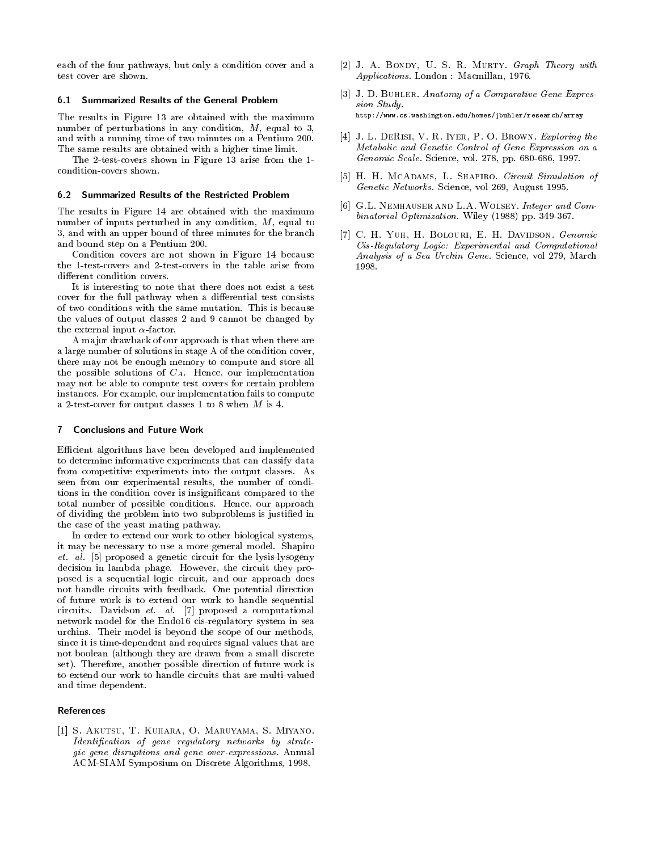each of the four pathways, but only a condition cover and a test cover are shown.

### 61 Summarized Results of the General Problem

The results in Figure 13 are obtained with the maximum number of perturbations in any condition, M, equal to 3, and with a running time of two minutes on a Pentium 200. The same results are obtained with a higher time limit.

The 2-test-covers shown in Figure 13 arise from the 1 condition-covers shown.

### 6.2 Summarized Results of the Restricted Problem

The results in Figure 14 are obtained with the maximum number of inputs perturbed in any condition, M, equal to 3, and with an upper bound of three minutes for the branch and bound step on a Pentium 200.

Condition covers are not shown in Figure 14 because the 1-test-covers and 2-test-covers in the table arise from different condition covers.

It is interesting to note that there does not exist a test cover for the full pathway when a differential test consists of two conditions with the same mutation. This is because the values of output classes 2 and 9 cannot be changed by the external input  $\alpha$ -factor.

A ma jor drawback of our approach is that when there are a large number of solutions in stage A of the condition cover, there may not be enough memory to compute and store all the possible solutions of  $C_A$ . Hence, our implementation may not be able to compute test covers for certain problem instances. For example, our implementation fails to compute a 2-test-cover for output classes 1 to 8 when <sup>M</sup> is 4.

### $\mathbf{7}$ **Conclusions and Future Work**

Efficient algorithms have been developed and implemented to determine informative experiments that can classify data from competitive experiments into the output classes. As seen from our experimental results, the number of conditions in the condition cover is insignicant compared to the total number of possible conditions. Hence, our approach of dividing the problem into two subproblems is justied in the case of the yeast mating pathway.

In order to extend our work to other biological systems, it may be necessary to use a more general model. Shapiro et. al. [5] proposed a genetic circuit for the lysis-lysogeny decision in lambda phage. However, the circuit they proposed is a sequential logic circuit, and our approach does not handle circuits with feedback. One potential direction of future work isto extend our work to handle sequential circuits. Davidson et. al. [7] proposed a computational network model for the Endo16 cis-regulatory system in sea urchins. Their model is beyond the scope of our methods, since it is time-dependent and requires signal values that are not boolean (although they are drawn from a small discrete set). Therefore, another possible direction of future work is to extend our work to handle circuits that are multi-valued and time dependent.

[1] S. Akutsu, T. Kuhara, O. Maruyama, S. Miyano. Identification of gene regulatory networks by strategic gene disruptions and gene over-expressions. Annual ACM-SIAM Symposium on Discrete Algorithms, 1998.

- [2] J. A. BONDY, U. S. R. MURTY. Graph Theory with Applications. London : Macmillan, 1976.
- [3] J. D. BUHLER. Anatomy of a Comparative Gene Expression Study. http://www.cs.washington.edu/homes/jbuhler/research/array
- [4] J. L. DeRisi, V. R. Iyer, P. O. Brown. Exploring the Metabolic and Genetic Control of Gene Expression on a Genomic Scale. Science, vol. 278, pp. 680-686, 1997.
- [5] H. H. MCADAMS, L. SHAPIRO. Circuit Simulation of Genetic Networks. Science, vol 269, August 1995.
- [6] G.L. NEMHAUSER AND L.A. WOLSEY. Integer and Combinatorial Optimization. Wiley (1988) pp. 349-367.
- [7] C. H. YUH, H. BOLOURI, E. H. DAVIDSON. Genomic Cis-Regulatory Logic: Experimental and Computational Analysis of a Sea Urchin Gene. Science, vol 279, March 1998.